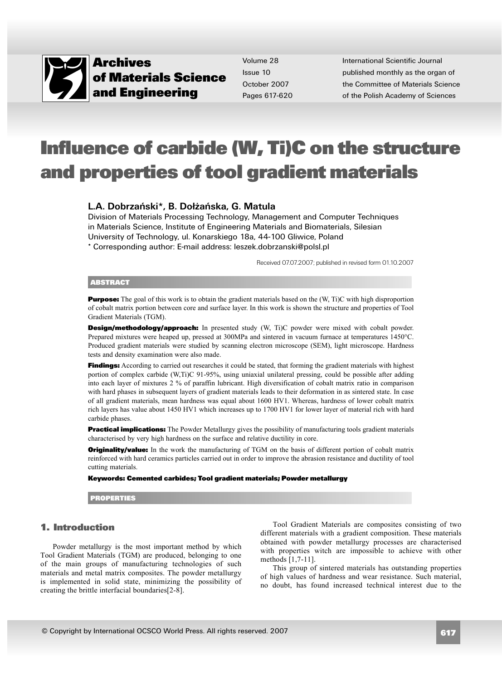

Volume 28Issue 10 October 2007Pages 617-620

International Scientific Journalpublished monthly as the organ of the Committee of Materials Scienceof the Polish Academy of Sciences

## **Influence of carbide (W, Ti)C on the structure and properties of tool gradient materials**

## **L.A. Dobrzañski\*, B. Do³¿añska, G. Matula**

 Division of Materials Processing Technology, Management and Computer Techniques in Materials Science, Institute of Engineering Materials and Biomaterials, Silesian University of Technology, ul. Konarskiego 18a, 44-100 Gliwice, Poland\* Corresponding author: E-mail address: leszek.dobrzanski@polsl.pl

Received 07.07.2007; published in revised form 01.10.2007

## **ABSTRACT**

**Purpose:** The goal of this work is to obtain the gradient materials based on the (W, Ti)C with high disproportion of cobalt matrix portion between core and surface layer. In this work is shown the structure and properties of ToolGradient Materials (TGM).

**Design/methodology/approach:** In presented study (W, Ti)C powder were mixed with cobalt powder. Prepared mixtures were heaped up, pressed at 300MPa and sintered in vacuum furnace at temperatures 1450°C. Produced gradient materials were studied by scanning electron microscope (SEM), light microscope. Hardness tests and density examination were also made.

**Findings:** According to carried out researches it could be stated, that forming the gradient materials with highest portion of complex carbide (W,Ti)C 91-95%, using uniaxial unilateral pressing, could be possible after adding into each layer of mixtures 2 % of paraffin lubricant. High diversification of cobalt matrix ratio in comparison with hard phases in subsequent layers of gradient materials leads to their deformation in as sintered state. In case of all gradient materials, mean hardness was equal about 1600 HV1. Whereas, hardness of lower cobalt matrix rich layers has value about 1450 HV1 which increases up to 1700 HV1 for lower layer of material rich with hard carbide phases.

**Practical implications:** The Powder Metallurgy gives the possibility of manufacturing tools gradient materials characterised by very high hardness on the surface and relative ductility in core.

**Originality/value:** In the work the manufacturing of TGM on the basis of different portion of cobalt matrix reinforced with hard ceramics particles carried out in order to improve the abrasion resistance and ductility of tool cutting materials.

**Keywords: Cemented carbides; Tool gradient materials; Powder metallurgy**

**PROPERTIES**

## **1. Introduction 1. Introduction**

Powder metallurgy is the most important method by which Tool Gradient Materials (TGM) are produced, belonging to one of the main groups of manufacturing technologies of such materials and metal matrix composites. The powder metallurgy is implemented in solid state, minimizing the possibility ofcreating the brittle interfacial boundaries[2-8].

Tool Gradient Materials are composites consisting of two different materials with a gradient composition. These materials obtained with powder metallurgy processes are characterised with properties witch are impossible to achieve with other methods [1,7-11].

This group of sintered materials has outstanding properties of high values of hardness and wear resistance. Such material, no doubt, has found increased technical interest due to the